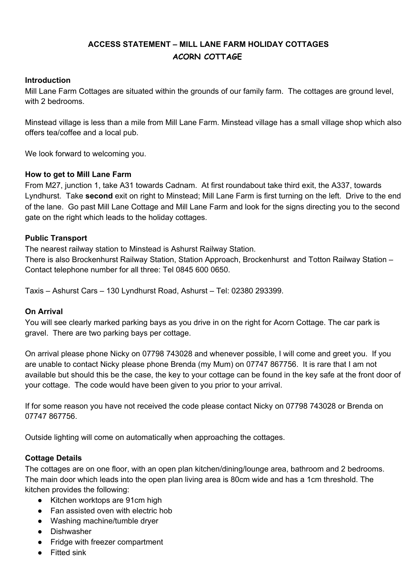# **ACCESS STATEMENT – MILL LANE FARM HOLIDAY COTTAGES ACORN COTTAGE**

# **Introduction**

Mill Lane Farm Cottages are situated within the grounds of our family farm. The cottages are ground level, with 2 bedrooms.

Minstead village is less than a mile from Mill Lane Farm. Minstead village has a small village shop which also offers tea/coffee and a local pub.

We look forward to welcoming you.

## **How to get to Mill Lane Farm**

From M27, junction 1, take A31 towards Cadnam. At first roundabout take third exit, the A337, towards Lyndhurst. Take **second** exit on right to Minstead; Mill Lane Farm is first turning on the left. Drive to the end of the lane. Go past Mill Lane Cottage and Mill Lane Farm and look for the signs directing you to the second gate on the right which leads to the holiday cottages.

## **Public Transport**

The nearest railway station to Minstead is Ashurst Railway Station.

There is also Brockenhurst Railway Station, Station Approach, Brockenhurst and Totton Railway Station – Contact telephone number for all three: Tel 0845 600 0650.

Taxis – Ashurst Cars – 130 Lyndhurst Road, Ashurst – Tel: 02380 293399.

#### **On Arrival**

You will see clearly marked parking bays as you drive in on the right for Acorn Cottage. The car park is gravel. There are two parking bays per cottage.

On arrival please phone Nicky on 07798 743028 and whenever possible, I will come and greet you. If you are unable to contact Nicky please phone Brenda (my Mum) on 07747 867756. It is rare that I am not available but should this be the case, the key to your cottage can be found in the key safe at the front door of your cottage. The code would have been given to you prior to your arrival.

If for some reason you have not received the code please contact Nicky on 07798 743028 or Brenda on 07747 867756.

Outside lighting will come on automatically when approaching the cottages.

# **Cottage Details**

The cottages are on one floor, with an open plan kitchen/dining/lounge area, bathroom and 2 bedrooms. The main door which leads into the open plan living area is 80cm wide and has a 1cm threshold. The kitchen provides the following:

- Kitchen worktops are 91cm high
- Fan assisted oven with electric hob
- Washing machine/tumble dryer
- Dishwasher
- Fridge with freezer compartment
- Fitted sink